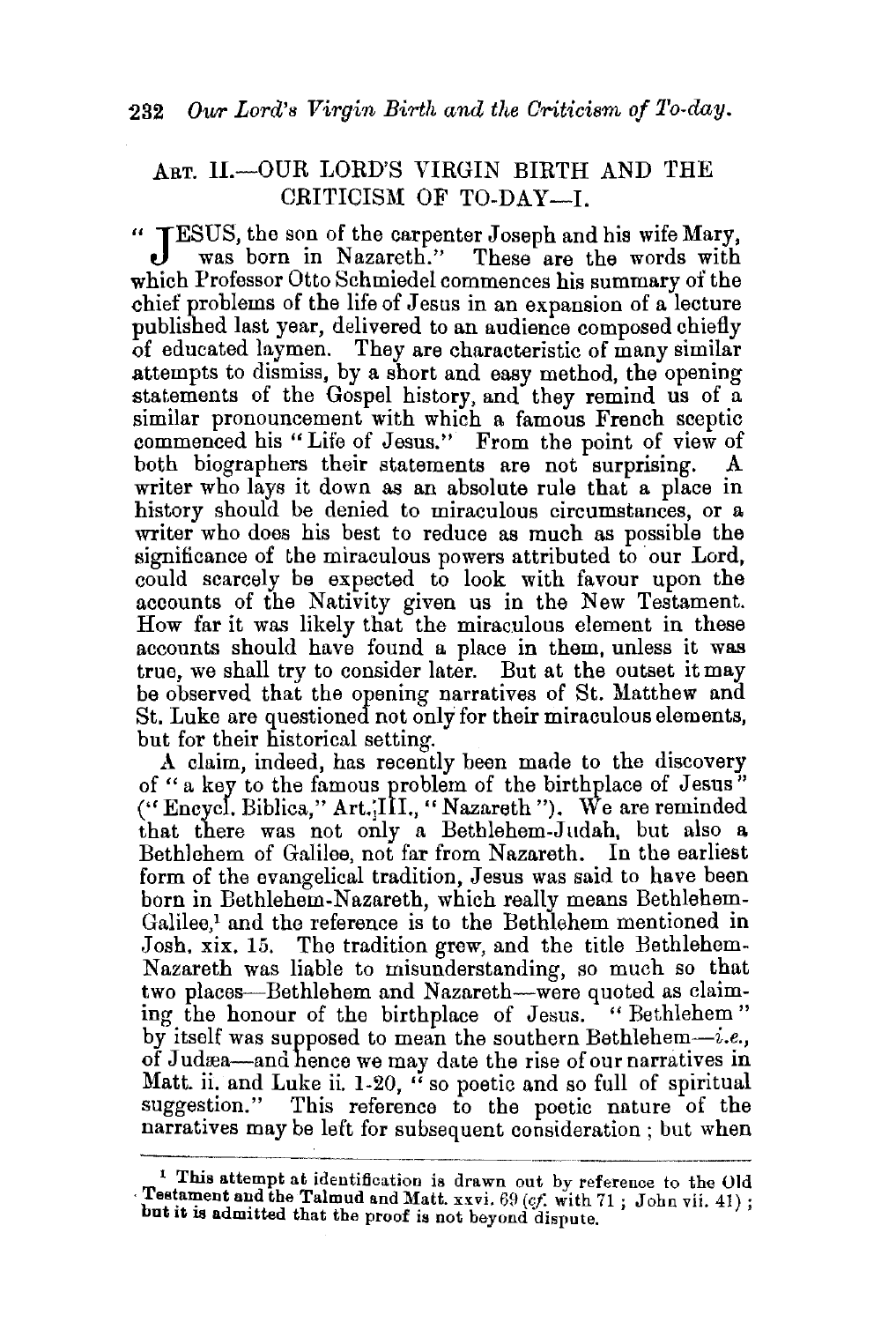## ART. H.-OUR LORD'S VIRGIN BIRTH AND THE CRITICISM OF TO-DAY-I.

"JESUS, the son of the carpenter Joseph and his wife Mary, was born in Nazareth." These are the words with which Professor Otto Schmiedel commences his summary of the chief problems of the life of Jesus in an expansion of a lecture published last year, delivered to an audience composed chiefly of educated laymen. They are characteristic of many similar attempts to dismiss, by a short and easy method, the opening statements of the Gospel history, and they remind us of a similar pronouncement with which a famous French sceptic commenced his "Life of Jesus." From the point of view of both biographers their statements are not surprising. A both biographers their statements are not surprising. writer who lays it down as an absolute rule that a place in history should be denied to miraculous circumstances, or a writer who does his best to reduce as much as possible the significance of the miraculous powers attributed to our Lord, could scarcely be expected to look with favour upon the accounts of the Nativity given us in the New Testament. How far it was likely that the miraculous element in these accounts should have found a place in them, unless it was true, we shall try to consider later. But at the outset it may be observed that the opening narratives of St. Matthew and St. Luke are questioned not only for their miraculous elements, but for their historical setting.

A claim, indeed, has recently been made to the discovery of " a key to the famous problem of the birthplace of Jesus" (" Encycl. Biblica," Art.jiiL, "Nazareth"). We are reminded that there was not only a Bethlehem-J udah, but also a Bethlehem of Galilee, not far from Nazareth. In the earliest form of the evangelical tradition, Jesus was said to have been born in Bethlehem-Nazareth, which really means Bethlehem-Galilee,<sup>1</sup> and the reference is to the Bethlehem mentioned in Josh. xix. 15. The tradition grew, and the title Bethlehem-Nazareth was liable to misunderstanding, so much so that two places-Bethlehem and Nazareth-were quoted as claiming the honour of the birthplace of Jesus. "Bethlehem" by itself was supposed to mean the southern Bethlehem-i.e., of Judæa—and hence we may date the rise of our narratives in Matt. ii. and Luke ii.  $1-20$ , " so poetic and so full of spiritual suggestion." This reference to the poetic nature of the narratives may be left for subsequent consideration ; but when

<sup>&</sup>lt;sup>1</sup> This attempt at identification is drawn out by reference to the Old · Testament and the Talmud and Matt. xxvi. 69 (*cf.* with 71; John vii. 41); but it is admitted that the proof is not beyond dispute.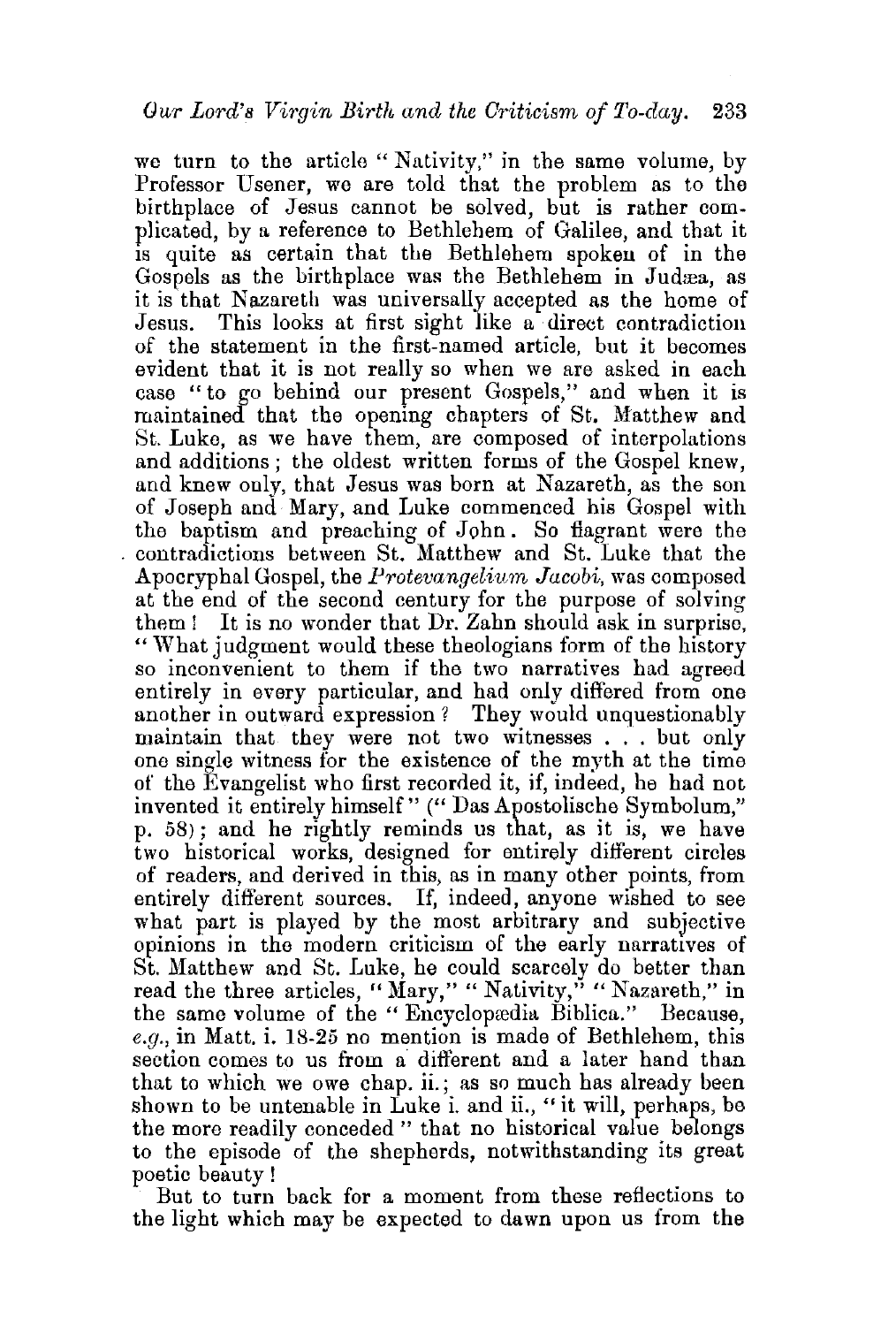we turn to the article "Nativity," in the same volume, by Professor Usener, we are told that the problem as to the birthplace of Jesus cannot be solved, but is rather complicated, by a reference to Bethlehem of Galilee, and that it 1s quite as certain that the Bethlehem spoken of in the Gospels as the birthplace was the Bethlehem in Judæa, as it is that Nazareth was universally accepted as the home of Jesus. This looks at first sight like a direct contradiction This looks at first sight like a direct contradiction of the statement in the first-named article, but it becomes evident that it is not really so when we are asked in each case "to go behind our present Gospels," and when it is maintained that the opening chapters of St. Matthew and St. Luke, as we have them, are composed of interpolations and additions ; the oldest written forms of the Gospel knew, and knew only, that Jesus was born at Nazareth, as the son of Joseph and Mary, and Luke commenced his Gospel with the baptism and preaching of John. So flagrant were the contradictions between St. Matthew and St. Luke that the Apocryphal Gospel, the *Protevangelium Jacobi*, was composed at the end of the second century for the purpose of solving them ! It is no wonder that Dr. Zahn should ask in surprise, "What judgment would these theologians form of the history so inconvenient to them if the two narratives had agreed entirely in every particular, and had only differed from one another in outward expression ? They would unquestionably maintain that they were not two witnesses ... but only one single witness for the existence of the myth at the time of the Evangelist who first recorded it, if, indeed, he had not invented it entirely himself" (" Das Apostolische Symbolum," p. 58) ; and he rightly reminds us that, as it is, we have two historical works, designed for entirely different circles of readers, and derived in this, as in many other points, from entirely different sources. If, indeed, anyone wished to see what part is played by the most arbitrary and subjective opinions in the modern criticism of the early narratives of St. Matthew and St. Luke, he could scarcely do better than read the three articles, "Mary," "Nativity," "Nazareth," in the same volume of the "Encyclopedia Biblica." Because, *e.g.,* in Matt. i. 18-25 no mention is made of Bethlehem, this section comes to us from a different and a later hand than that to which we owe chap. ii.; as so much has already been shown to be untenable in Luke i. and ii., "it will, perhaps, be the more readily conceded " that no historical value belongs to the episode of the shepherds, notwithstanding its great poetic beauty !

But to turn back for a moment from these reflections to the light which may be expected to dawn upon us from the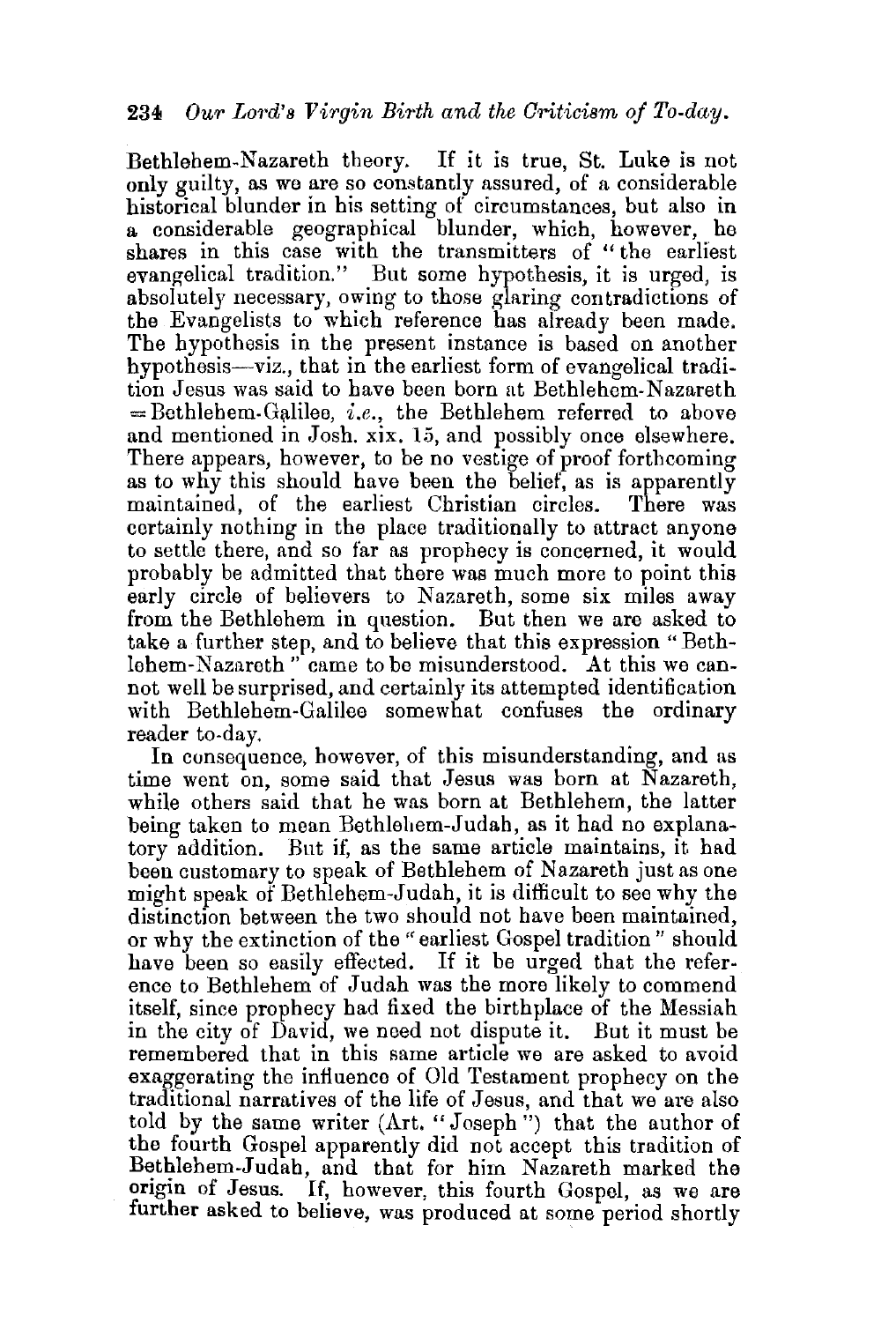Bethlehem-Nazareth theory. If it is true, St. Luke is not only guilty, as we are so constantly assured, of a considerable historical blunder in his setting of circumstances, but also in a considerable geographical blunder, which, however, be shares in this case with the transmitters of "the earliest evangelical tradition." But some hypothesis, it is urged, is absolutely necessary, owing to those glaring contradictions of the Evangelists to which reference has already been made. The hypothesis in the present instance is based on another hypothesis—viz., that in the earliest form of evangelical tradition Jesus was 8aid to have been born at Bethlehem-Nazareth  $=$  Bethlehem-Galilee, *i.e.*, the Bethlehem referred to above and mentioned in Josh. xix. 15, and possibly once elsewhere. There appears, however, to be no vestige of proof forthcoming as to why this should have been the belief, as is apparently maintained, of the earliest Christian circles. There was certainly nothing in the place traditionally to attract anyone to settle there, and so far as prophecy is concerned, it would probably be admitted that there was much more to point this early circle of believers to Nazareth, some six miles away from the Bethlehem in question. But then we are asked to take a further step, and to believe that this expression "Bethlehem-Nazareth" came to be misunderstood. At this we cannot well be surprised, and certainly its attempted identification with Bethlehem-Galilee somewhat confuses the ordinary reader to-day.

In consequence, however, of this misunderstanding, and as time went on, some said that Jesus was born at Nazareth. while others said that he was born at Bethlehem, the latter being taken to mean Bethlehem-Judah, as it had no explanatory addition. But if: as the same article maintains, it had been customary to speak of Bethlehem of Nazareth just as one might speak of Bethlehem-Judah, it is difficult to see why the distinction between the two should not have been maintained. or why the extinction of the "earliest Gospel tradition" should have been so easily effected. If it be urged that the reference to Bethlehem of Judah was the more likely to commend itself, since prophecy had fixed the birthplace of the Messiah in the city of David, we need not dispute it. But it must be remembered that in this same article we are asked to avoid exaggerating the influence of Old Testament prophecy on the traditional narratives of the life of Jesus, and that we are also told by the same writer (Art. "Joseph") that the author of the fourth Gospel apparently did not accept this tradition of Bethlehem-Judah, and that for him Nazareth marked the origin of Jesus. If, however, this fourth Gospel, as we are further asked to believe, was produced at some period shortly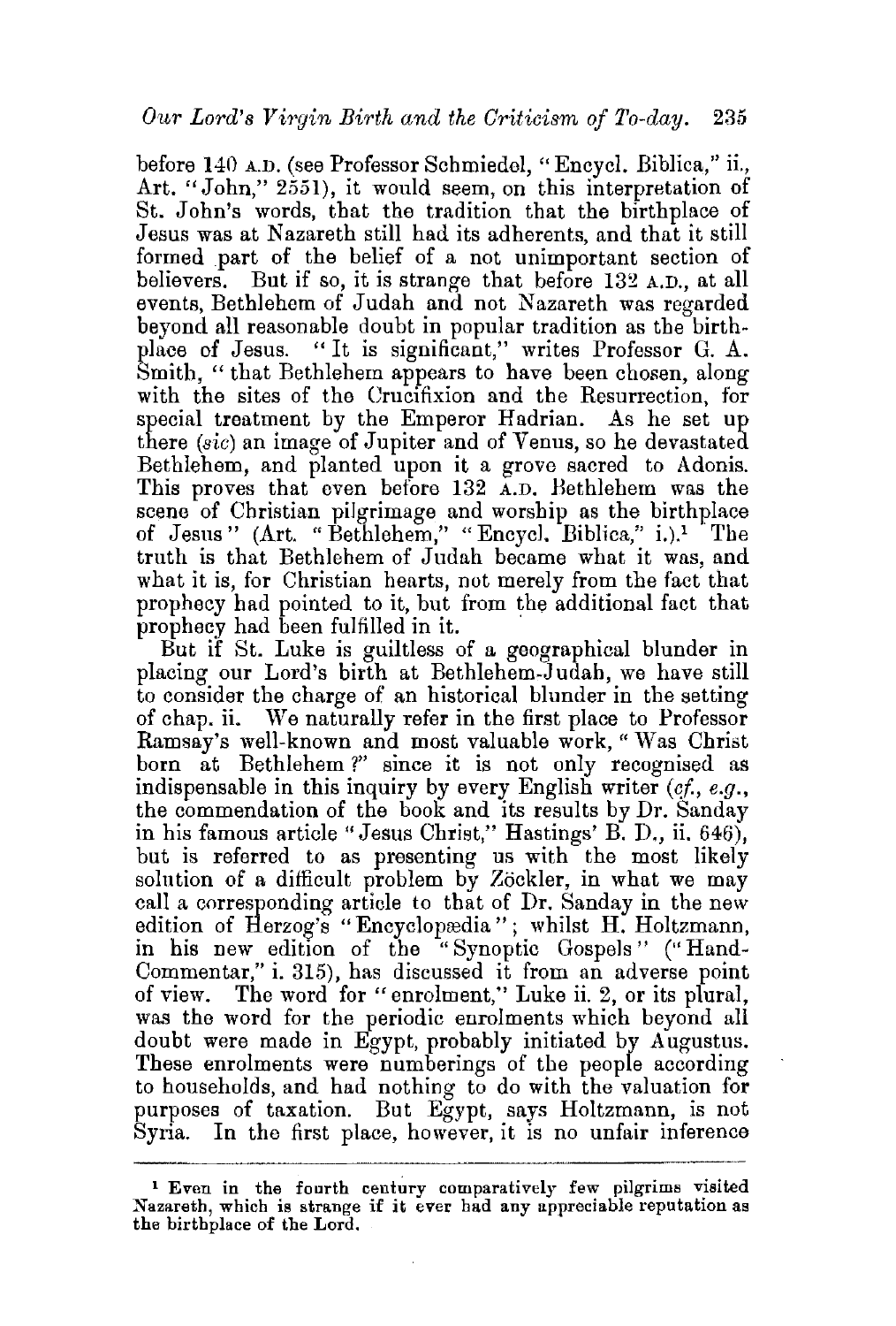before 140 A.D. (see Professor Schmiedel, "Encycl. Biblica," ii., Art. "John," 2551), it would seem, on this interpretation of St. John's words, that the tradition that the birthplace of Jesus was at Nazareth still had its adherents, and that it still formed part of the belief of a not unimportant section of believers. But if so, it is strange that before 132 A.D., at all events, Bethlehem of Judah and not Nazareth was regarded beyond all reasonable doubt in popular tradition as the birth-<br>place of Jesus. "It is significant." writes Professor G. A. "It is significant," writes Professor G. A. Smith, "that Bethlehem appears to have been chosen, along with the sites of the Crucifixion and the Resurrection, for special treatment by the Emperor Hadrian. As he set up there *(sic)* an image of Jupiter and of Venus, so he devastated Bethlehem, and planted upon it a grove sacred to Adonis. This proves that even before 132 A.D. Bethlehem was the scene of Christian pilgrimage and worship as the birthplace of Jesus" (Art. "Bethlehem," "Encycl. Biblica," i.).1 The truth is that Bethlehem of Judah became what it was, and what it is, for Christian hearts, not merely from the fact that prophecy had pointed to it, but from the additional fact that prophecy had been fulfilled in it.

But if St. Luke is guiltless of a geographical blunder in placing our Lord's birth at Bethlehem-Judah, we have still to consider the charge of an historical blunder in the setting of chap. ii. We naturally refer in the first place to Professor Ramsay's well-known and most valuable work, "\Vas Christ born at Bethlehem ?" since it is not only recognised as indispensable in this inquiry by every English writer (cf., e.g., the commendation of the book and its results by Dr. Sanday in his famous article "Jesus Christ," Hastings' B. D., ii. 646), but is referred to as presenting us with the most likely solution of a difficult problem by Zöckler, in what we may call a corresponding article to that of Dr. Sanday in the new edition of Herzog's "Encyclopædia"; whilst H. Holtzmann, in his new edition of the "Synoptic Gospels " ("Hand-Commentar," i. 315), has discussed it from an adverse point of view. The word for "enrolment," Luke ii. 2, or its plural, was the word for the periodic enrolments which beyond all doubt were made in Egypt, probably initiated by Augustus. These enrolments were numberings of the people according to households, and had nothing to do with the valuation for purposes of taxation. But Egypt, says Holtzmann, is not Syria. In the first place, however, it is no unfair inference

<sup>1</sup> Even in the fourth century comparatively few pilgrims visited Nazareth, which is strange if it ever had any appreciable reputation as the birthplace of the Lord.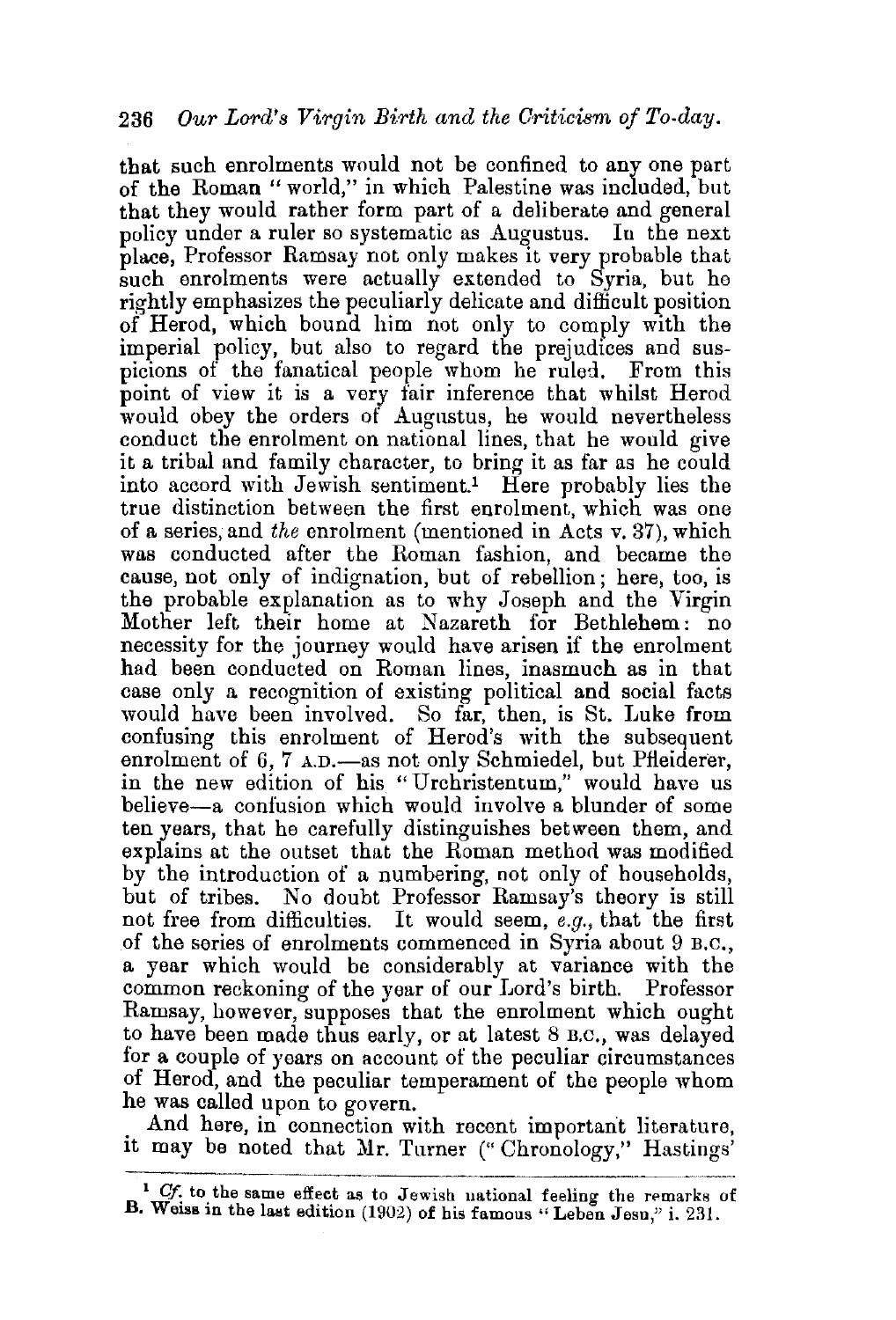that such enrolments would not be confined to any one part of the Roman "world," in which Palestine was included, but that they would rather form part of a deliberate and general policy under a ruler so systematic as Augustus. In the next place, Professor Ramsay not only makes it very probable that such enrolments were actually extended to Syria, but he rightly emphasizes the peculiarly delicate and difficult position of Herod, which bound him not only to comply with the imperial policy, but also to regard the prejudices and suspicions of the fanatical people whom he ruled. From this point of view it is a very fair inference that whilst Herod would obey the orders of Augustus, he would nevertheless conduct the enrolment on national lines, that he would give it a tribal and family character, to bring it as far as he could into accord with Jewish sentiment.1 Here probably lies the true distinction between the first enrolment, which was one of a series, and *the* enrolment (mentioned in Acts v. 37), which was conducted after the Roman fashion, and became the cause, not only of indignation, but of rebellion; here, too, is the probable explanation as to why Joseph and the Virgin Mother left their home at Nazareth for Bethlehem: no necessity for the journey would have arisen if the enrolment had been conducted on Roman lines, inasmuch as in that case only a recognition of existing political and social facts would have been involved. So far, then, is St. Luke from confusing this enrolment of Herod's with the subsequent enrolment of 6, 7 A.D.—as not only Schmiedel, but Pfleiderer, in the new edition of his "Urchristentum," would have us believe-a confusion which would involve a blunder of some ten years, that he carefully distinguishes between them, and explains at the outset that the Roman method was modified by the introduction of a numbering, not only of households, but of tribes. No doubt Professor Ramsay's theory is still not free from difficulties. It would seem, *e.g.,* that the first of the series of enrolments commenced in Syria about 9 B.c., a year which would be considerably at variance with the common reckoning of the year of our J.ord's birth. Professor Ramsay, however, supposes that the enrolment which ought to have been made thus early, or at latest 8 B.c., was delayed for a couple of years on account of the peculiar circumstances of Herod, and the peculiar temperament of the people whom he was called upon to govern.

. And here, in connection with recent important literature, 1t may be noted that Mr. Turner (" Chronology," Hastings'

<sup>&</sup>lt;sup>1</sup> Cf. to the same effect as to Jewish national feeling the remarks of B. Weiss in the last edition (1902) of his famous "Leben Jesu," i. 231.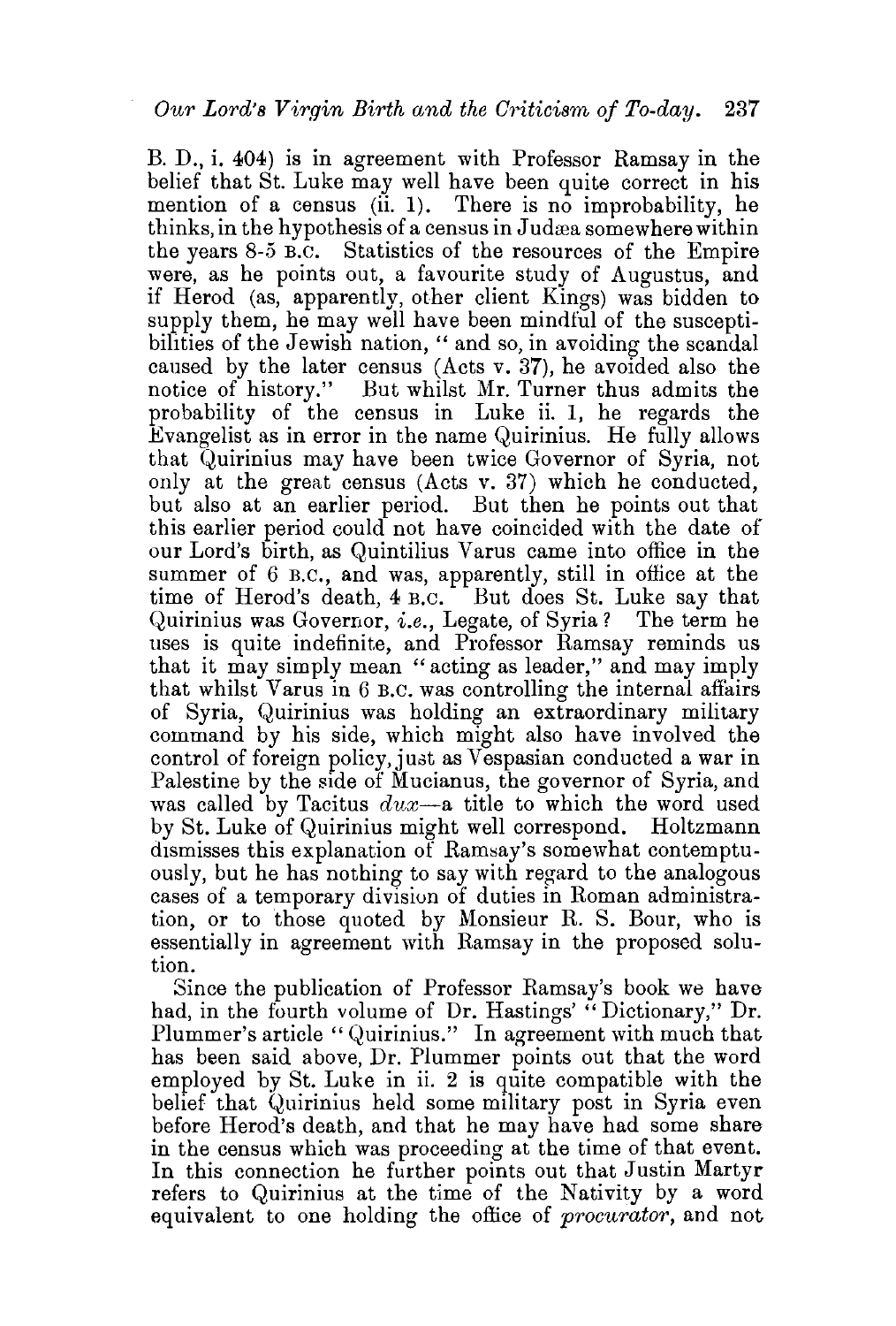B. D., i. 404) is in agreement with Professor Ramsay in the belief that St. Luke may well have been quite correct in his mention of a census  $(ii. 1)$ . There is no improbability, he thinks, in the hypothesis of a census in Judæa somewhere within the years 8-5 B.c. Statistics of the resources of the Empire were, as he points out, a favourite study of Augustus, and if Herod (as, apparently, other client Kings) was bidden to supply them, he may well have been mindful of the susceptibilities of the Jewish nation, " and so, in avoiding the scandal caused by the later census (Acts v. 37), he avoided also the notice of history." But whilst Mr. Turner thus admits the probability of the census in Luke ii. 1, he regards the Evangelist as in error in the name Quirinius. He fully allows that Quirinius may have been twice Governor of Syria, not only at the great census (Acts v. 37) which he conducted, but also at an earlier period. But then he points out that this earlier period could not have coincided with the date of our Lord's birth, as Quintilius Varus came into office in the summer of 6 B.C., and was, apparently, still in office at the time of Herod's death, 4 B.C. But does St. Luke say that Quirinius was Governor, *i.e.*, Legate, of Syria? The term he uses is quite indefinite, and Professor Ramsay reminds us that it may simply mean "acting as leader," and may imply that whilst Varus in 6 B.C. was controlling the internal affairs of Syria, Quirinius was holding an extraordinary military command by his side, which might also have involved the control of foreign policy, just as Vespasian conducted a war in Palestine by the side of Mucianus, the governor of Syria, and was called by Tacitus *dux-a* title to which the word used by St. Luke of Quirinius might well correspond. Holtzmann dismisses this explanation of Ramsay's somewhat contemptuously, but he has nothing to say with regard to the analogous cases of a temporary division of duties in Roman administration, or to those quoted by Monsieur R. S. Bour, who is essentially in agreement with Ramsay in the proposed solution.

Since the publication of Professor Ramsay's book we have had, in the fourth volume of Dr. Hastings' "Dictionary," Dr. Plummer's article "Quirinius." In agreement with much that has been said above, Dr. Plummer points out that the word employed by St. Luke in ii. 2 is quite compatible with the belief that Quirinius held some military post in Syria even before Herod's death, and that he may have had some share in the census which was proceeding at the time of that event. In this connection he further points out that Justin Martyr refers to Quirinius at the time of the Nativity by a word equivalent to one holding the office of *procurator,* and not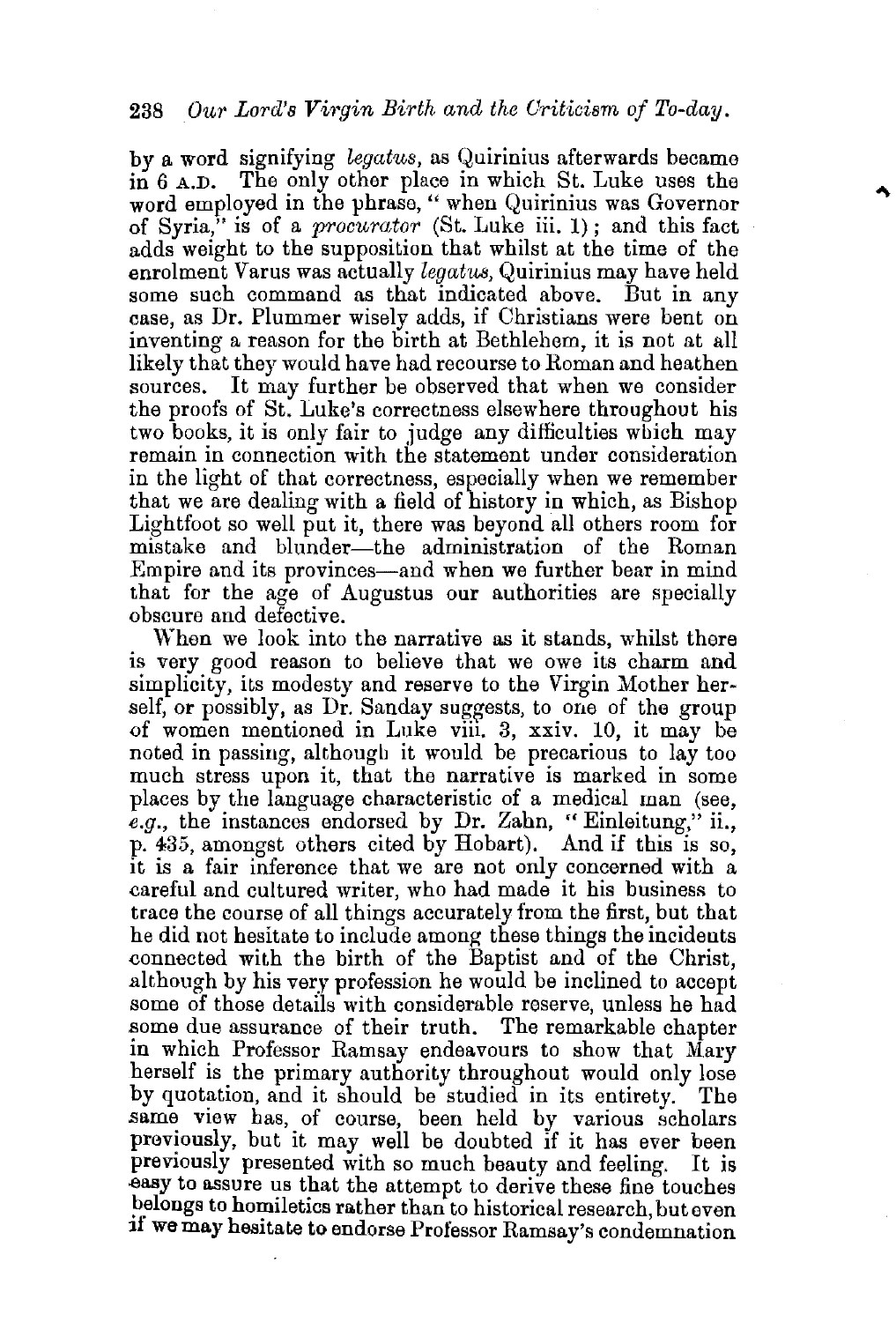## 238 *Our Lord's Virgin Birth and the Criticism of To-day.*

by a word signifying *legcdus,* as Quirinius afterwards became in 6 A.D. The only other place in which St. Luke uses the word employed in the phrase, " when Quirinius was Governor of Syria," is of a *procurator* (St. Luke iii. 1) ; and this fact adds weight to the supposition that whilst at the time of the enrolment Varus was actually *legatus,* Quirinius may have held some such command as that indicated above. But in any case, as Dr. Plummer wisely adds, if Christians were bent on inventing a reason for the birth at Bethlehem, it is not at all likely that they would have had recourse to Roman and heathen sources. It may further be observed that when we consider the proofs of St. Luke's correctness elsewhere throughout his two books, it is only fair to judge any difficulties wbich may remain in connection with the statement under consideration in the light of that correctness, especially when we remember that we are dealing with a field of history in which, as Bishop Lightfoot so well put it, there was beyond all others room for mistake and blunder-the administration of the Roman Empire and its provinces-and when we further bear in mind that for the age of Augustus our authorities are specially obscure and defective.

When we look into the narrative as it stands, whilst there is very good reason to believe that we owe its charm and simplicity, its modesty and reserve to the Virgin Mother herself, or possibly, as Dr. Sanday suggests, to one of the group of women mentioned in Luke viii. 3, xxiv. 10, it may be noted in passing, although it would be precarious to lay too much stress upon it, that the narrative is marked in some places by the language characteristic of a medical man (see, *e.g.,* the instances endorsed by Dr. Zahn, "Einleitung," ii., p. 435, amongst others cited by Hobart). And if this is so, it is a fair inference that we are not only concerned with a eareful and cultured writer, who had made it his business to trace the course of all things accurately from the first, but that he did not hesitate to include among these things the incidents eonnected with the birth of the Baptist and of the Christ, although by his very profession he would be inclined to accept some of those details with considerable reserve, unless he had some due assurance of their truth. The remarkable chapter in which Professor Ramsay endeavours to show that Mary herself is the primary authority throughout would only lose by quotation, and it should be studied in its entirety. The same view has, of course, been held by various scholars previously, but it may well be doubted if it has ever been previously presented with so much beauty and feeling. It is .easy to assure us that the attempt to derive these fine touches belongs to homiletics rather than to historical research, but even if we may hesitate to endorse Professor Ramsay's condemnation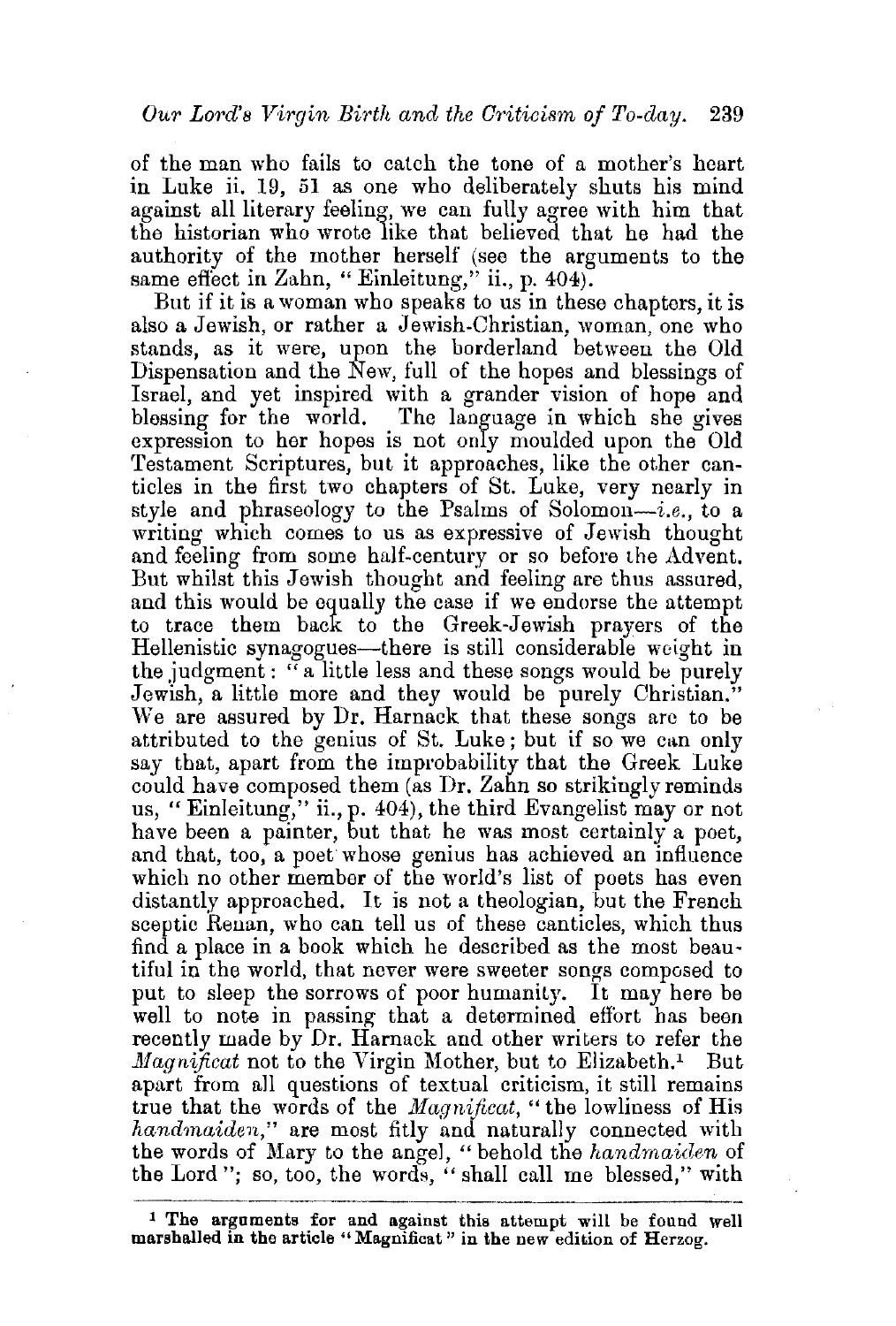of the man who fails to catch the tone of a mother's heart in Luke ii. 19, 51 as one who deliberately shuts his mind against all literary feeling, we can fully agree with him that the historian who wrote like that believed that he had the authority of the mother herself (see the arguments to the same effect in Zahn, "Einleitung," ii., p. 404).

But if it is a woman who speaks to us in these chapters, it is also a Jewish, or rather a Jewish-Christian, woman, one who stands, as it were, upon the borderland between the Old Dispensation and the New, full of the hopes and blessings of Israel, and yet inspired with a grander vision of hope and blessing for the world. The language in which she gives expression to her hopes is not only moulded upon the Old Testament Scriptures, but it approaches, like the other canticles in the first two chapters of St. Luke, very nearly in style and phraseology to the Psalms of Solomon-i.e., to a writing which comes to us as expressive of Jewish thought and feeling from some half-century or so before the Advent. But whilst this Jewish thought and feeling are thus assured, and this would be equally the case if we endorse the attempt to trace them back to the Greek-Jewish prayers of the Hellenistic synagogues-there is still considerable weight in the judgment: "a little less and these songs would be purely Jewish, a little more and they would be purely Christian." We are assured by Dr. Harnack that these songs are to be attributed to the genius of St. Luke; but if so we can only say that, apart from the improbability that the Greek Luke could have composed them (as Dr. Zahn so strikingly reminds us, "Einleitung," ii., p. 404), the third Evangelist may or not have been a painter, but that he was most certainly a poet, and that, too, a poet whose genius has achieved an influence which no other member of the world's list of poets has even distantly approached. It is not a theologian, but the French sceptic Renan, who can tell us of these canticles, which thus find a place in a hook which he described as the most beau· tiful in the world, that never were sweeter songs composed to put to sleep the sorrows of poor humanity. It may here be well to note in passing that a determined effort has been recently made by Dr. Harnack and other writers to refer the *Magnificat* not to the Virgin Mother, but to Elizabeth.<sup>1</sup> But apart from all questions of textual criticism, it still remains true that the words of the *Magnificat*, "the lowliness of His *handmaiden,"* are most fitly and naturally connected with the words of Mary to the angel, " behold the *handmaiden* of the Lord"; so, too, the words, " shall call me blessed," with

<sup>1</sup> The arguments for and against this attempt will be found well marshalled in the article "Magnificat" in the new edition of Herzog.